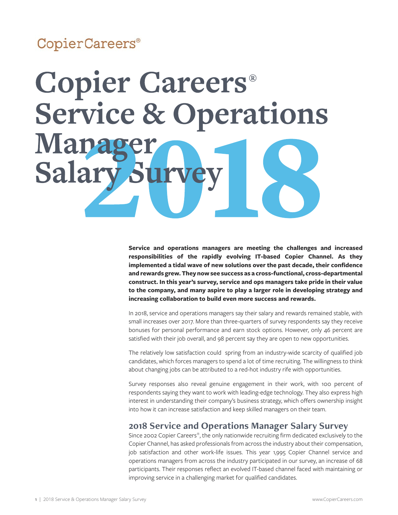# CopierCareers®



**Service and operations managers are meeting the challenges and increased responsibilities of the rapidly evolving IT-based Copier Channel. As they implemented a tidal wave of new solutions over the past decade, their confidence and rewards grew. They now see success as a cross-functional, cross-departmental construct. In this year's survey, service and ops managers take pride in their value to the company, and many aspire to play a larger role in developing strategy and increasing collaboration to build even more success and rewards.** 

In 2018, service and operations managers say their salary and rewards remained stable, with small increases over 2017. More than three-quarters of survey respondents say they receive bonuses for personal performance and earn stock options. However, only 46 percent are satisfied with their job overall, and 98 percent say they are open to new opportunities.

The relatively low satisfaction could spring from an industry-wide scarcity of qualified job candidates, which forces managers to spend a lot of time recruiting. The willingness to think about changing jobs can be attributed to a red-hot industry rife with opportunities.

Survey responses also reveal genuine engagement in their work, with 100 percent of respondents saying they want to work with leading-edge technology. They also express high interest in understanding their company's business strategy, which offers ownership insight into how it can increase satisfaction and keep skilled managers on their team.

### **2018 Service and Operations Manager Salary Survey**

Since 2002 Copier Careers®, the only nationwide recruiting firm dedicated exclusively to the Copier Channel, has asked professionals from across the industry about their compensation, job satisfaction and other work-life issues. This year 1,995 Copier Channel service and operations managers from across the industry participated in our survey, an increase of 68 participants. Their responses reflect an evolved IT-based channel faced with maintaining or improving service in a challenging market for qualified candidates.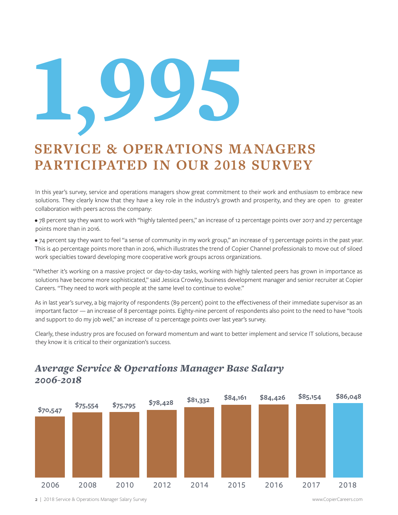

# **SERVICE & OPERATIONS MANAGERS PARTICIPATED IN OUR 2018 SURVEY**

In this year's survey, service and operations managers show great commitment to their work and enthusiasm to embrace new solutions. They clearly know that they have a key role in the industry's growth and prosperity, and they are open to greater collaboration with peers across the company:

• 78 percent say they want to work with "highly talented peers," an increase of 12 percentage points over 2017 and 27 percentage points more than in 2016.

• 74 percent say they want to feel "a sense of community in my work group," an increase of 13 percentage points in the past year. This is 40 percentage points more than in 2016, which illustrates the trend of Copier Channel professionals to move out of siloed work specialties toward developing more cooperative work groups across organizations.

"Whether it's working on a massive project or day-to-day tasks, working with highly talented peers has grown in importance as solutions have become more sophisticated," said Jessica Crowley, business development manager and senior recruiter at Copier Careers. "They need to work with people at the same level to continue to evolve."

As in last year's survey, a big majority of respondents (89 percent) point to the effectiveness of their immediate supervisor as an important factor — an increase of 8 percentage points. Eighty-nine percent of respondents also point to the need to have "tools and support to do my job well," an increase of 12 percentage points over last year's survey.

Clearly, these industry pros are focused on forward momentum and want to better implement and service IT solutions, because they know it is critical to their organization's success.



# *Average Service & Operations Manager Base Salary 2006-2018*

2 | 2018 Service & Operations Manager Salary Survey www.CopierCareers.com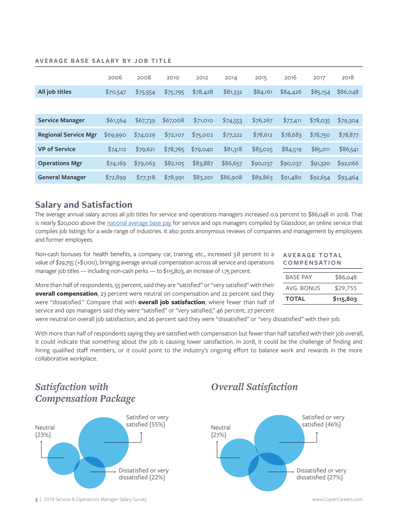|                             | 2006     | 2008     | 2010     | 2012     | 2014     | 2015     | 2016     | 2017     | 2018     |
|-----------------------------|----------|----------|----------|----------|----------|----------|----------|----------|----------|
| All job titles              | \$70,547 | \$75,554 | \$75,795 | \$78,428 | \$81,332 | \$84,161 | \$84,426 | \$85,154 | \$86,048 |
|                             |          |          |          |          |          |          |          |          |          |
| <b>Service Manager</b>      | \$61,564 | \$67,739 | \$67,008 | \$71,010 | \$74,553 | \$76,267 | \$77,411 | \$78,035 | \$79,304 |
| <b>Regional Service Mgr</b> | \$69,990 | \$74,029 | \$72,107 | \$75,002 | \$77,222 | \$78,612 | \$78,683 | \$78,750 | \$78,877 |
| <b>VP of Service</b>        | \$74,112 | \$79,621 | \$78,765 | \$79,040 | \$81,318 | \$83,025 | \$84,519 | \$85,011 | \$86,541 |
| <b>Operations Mgr</b>       | \$74,169 | \$79,063 | \$82,105 | \$83,887 | \$86,657 | \$90,037 | \$90,037 | \$91,320 | \$92,066 |
| <b>General Manager</b>      | \$72,899 | \$77,318 | \$78,991 | \$83,201 | \$86,908 | \$89,863 | \$91,480 | \$92,654 | \$93,464 |

#### **AVERAGE BASE SALARY BY JOB TITLE**

## **Salary and Satisfaction**

The average annual salary across all job titles for service and operations managers increased 0.9 percent to \$86,048 in 2018. That is nearly \$20,000 above the [national average base pay](https://www.glassdoor.com/Salaries/service-operations-manager-salary-SRCH_KO0,26.htm) for service and ops managers compiled by Glassdoor, an online service that compiles job listings for a wide range of industries. It also posts anonymous reviews of companies and management by employees and former employees.

Non-cash bonuses for health benefits, a company car, training, etc., increased 3.8 percent to a value of \$29,755 (+\$1,100), bringing average annual compensation across all service and operations manager job titles — including non-cash perks — to \$115,803, an increase of 1.75 percent.

#### **AV E R A G E T O TA L COMPENSATION**

| <b>TOTAL</b>    | \$115,803 |
|-----------------|-----------|
| AVG BONUS       | \$29,755  |
| <b>BASE PAY</b> | \$86,048  |
|                 |           |

More than half of respondents, 55 percent, said they are "satisfied" or "very satisfied" with their **overall compensation**, 23 percent were neutral on compensation and 22 percent said they were "dissatisfied." Compare that with **overall job satisfaction**, where fewer than half of service and ops managers said they were "satisfied" or "very satisfied," 46 percent; 27 percent

were neutral on overall job satisfaction, and 26 percent said they were "dissatisfied" or "very dissatisfied" with their job.

With more than half of respondents saying they are satisfied with compensation but fewer than half satisfied with their job overall, it could indicate that something about the job is causing lower satisfaction. In 2018, it could be the challenge of finding and hiring qualified staff members, or it could point to the industry's ongoing effort to balance work and rewards in the more collaborative workplace.



# *Satisfaction with*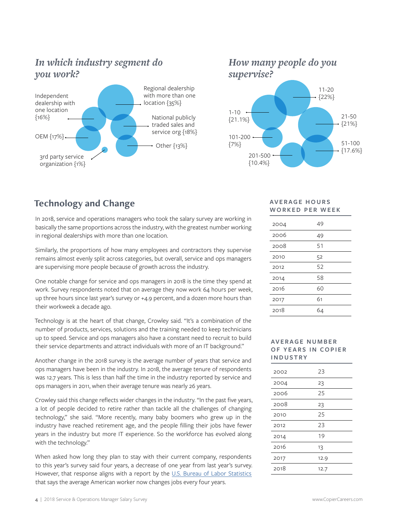# *In which industry segment do you work?*



*How many people do you supervise?*



## **Technology and Change**

In 2018, service and operations managers who took the salary survey are working in basically the same proportions across the industry, with the greatest number working in regional dealerships with more than one location.

Similarly, the proportions of how many employees and contractors they supervise remains almost evenly split across categories, but overall, service and ops managers are supervising more people because of growth across the industry.

One notable change for service and ops managers in 2018 is the time they spend at work. Survey respondents noted that on average they now work 64 hours per week, up three hours since last year's survey or +4.9 percent, and a dozen more hours than their workweek a decade ago.

Technology is at the heart of that change, Crowley said. "It's a combination of the number of products, services, solutions and the training needed to keep technicians up to speed. Service and ops managers also have a constant need to recruit to build their service departments and attract individuals with more of an IT background."

Another change in the 2018 survey is the average number of years that service and ops managers have been in the industry. In 2018, the average tenure of respondents was 12.7 years. This is less than half the time in the industry reported by service and ops managers in 2011, when their average tenure was nearly 26 years.

Crowley said this change reflects wider changes in the industry. "In the past five years, a lot of people decided to retire rather than tackle all the challenges of changing technology," she said. "More recently, many baby boomers who grew up in the industry have reached retirement age, and the people filling their jobs have fewer years in the industry but more IT experience. So the workforce has evolved along with the technology."

When asked how long they plan to stay with their current company, respondents to this year's survey said four years, a decrease of one year from last year's survey. However, that response aligns with a report by the [U.S. Bureau of Labor Statistics](https://www.bls.gov/oes/current/oes111021.htm)  that says the average American worker now changes jobs every four years.

#### **AV E R A G E H O U R S WORKED PER WEEK**

| 2004 | 49 |
|------|----|
| 2006 | 49 |
| 2008 | 51 |
| 2010 | 52 |
| 2012 | 52 |
| 2014 | 58 |
| 2016 | 60 |
| 2017 | 61 |
| 2018 | 64 |

#### **AV E R A G E N U M B E R OF YEARS IN COPIER INDUSTRY**

| 2002 | 23   |
|------|------|
| 2004 | 23   |
| 2006 | 25   |
| 2008 | 23   |
| 2010 | 25   |
| 2012 | 23   |
| 2014 | 19   |
| 2016 | 13   |
| 2017 | 12.9 |
| 2018 | 12.7 |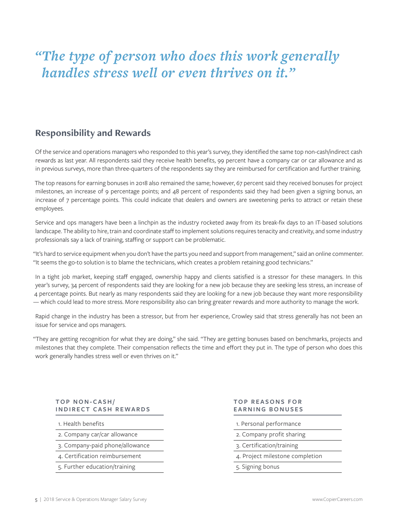# *"The type of person who does this work generally handles stress well or even thrives on it."*

# **Responsibility and Rewards**

Of the service and operations managers who responded to this year's survey, they identified the same top non-cash/indirect cash rewards as last year. All respondents said they receive health benefits, 99 percent have a company car or car allowance and as in previous surveys, more than three-quarters of the respondents say they are reimbursed for certification and further training.

The top reasons for earning bonuses in 2018 also remained the same; however, 67 percent said they received bonuses for project milestones, an increase of 9 percentage points; and 48 percent of respondents said they had been given a signing bonus, an increase of 7 percentage points. This could indicate that dealers and owners are sweetening perks to attract or retain these employees.

Service and ops managers have been a linchpin as the industry rocketed away from its break-fix days to an IT-based solutions landscape. The ability to hire, train and coordinate staff to implement solutions requires tenacity and creativity, and some industry professionals say a lack of training, staffing or support can be problematic.

"It's hard to service equipment when you don't have the parts you need and support from management," said an online commenter. "It seems the go-to solution is to blame the technicians, which creates a problem retaining good technicians."

In a tight job market, keeping staff engaged, ownership happy and clients satisfied is a stressor for these managers. In this year's survey, 34 percent of respondents said they are looking for a new job because they are seeking less stress, an increase of 4 percentage points. But nearly as many respondents said they are looking for a new job because they want more responsibility — which could lead to more stress. More responsibility also can bring greater rewards and more authority to manage the work.

Rapid change in the industry has been a stressor, but from her experience, Crowley said that stress generally has not been an issue for service and ops managers.

"They are getting recognition for what they are doing," she said. "They are getting bonuses based on benchmarks, projects and milestones that they complete. Their compensation reflects the time and effort they put in. The type of person who does this work generally handles stress well or even thrives on it."

#### **TOP NON-CASH/ INDIRECT CASH REWARDS**

1. Health benefits

- 2. Company car/car allowance
- 3. Company-paid phone/allowance
- 4. Certification reimbursement
- 5. Further education/training

#### **TOP REASONS FOR EARNING BONUSES**

- 1. Personal performance
- 2. Company profit sharing
- 3. Certification/training
- 4. Project milestone completion
- 5. Signing bonus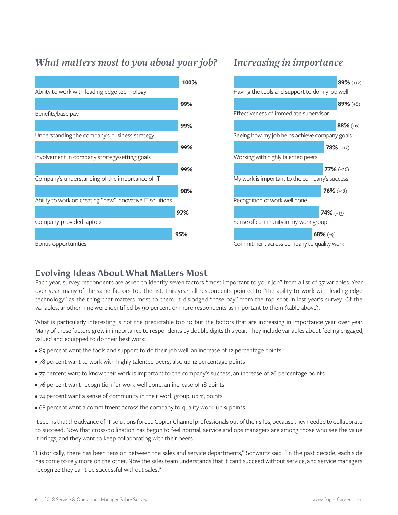# *What matters most to you about your job? Increasing in importance*



## **78%** (+12) **77%** (+26) **76%** (+18) **74%** (+13) **68%** (+9) Seeing how my job helps achieve company goals Working with highly talented peers My work is important to the company's success Recognition of work well done Sense of community in my work group Commitment across company to quality work **89%** (+12) **89%** (+8) **88%** (+6) Having the tools and support to do my job well Effectiveness of immediate supervisor

## **Evolving Ideas About What Matters Most**

Each year, survey respondents are asked to identify seven factors "most important to your job" from a list of 37 variables. Year over year, many of the same factors top the list. This year, all respondents pointed to "the ability to work with leading-edge technology" as the thing that matters most to them. It dislodged "base pay" from the top spot in last year's survey. Of the variables, another nine were identified by 90 percent or more respondents as important to them (table above).

What is particularly interesting is not the predictable top 10 but the factors that are increasing in importance year over year. Many of these factors grew in importance to respondents by double digits this year. They include variables about feeling engaged, valued and equipped to do their best work:

- 89 percent want the tools and support to do their job well, an increase of 12 percentage points
- 78 percent want to work with highly talented peers, also up 12 percentage points
- 77 percent want to know their work is important to the company's success, an increase of 26 percentage points
- 76 percent want recognition for work well done, an increase of 18 points
- 74 percent want a sense of community in their work group, up 13 points
- 68 percent want a commitment across the company to quality work, up 9 points

It seems that the advance of IT solutions forced Copier Channel professionals out of their silos, because they needed to collaborate to succeed. Now that cross-pollination has begun to feel normal, service and ops managers are among those who see the value it brings, and they want to keep collaborating with their peers.

"Historically, there has been tension between the sales and service departments," Schwartz said. "In the past decade, each side has come to rely more on the other. Now the sales team understands that it can't succeed without service, and service managers recognize they can't be successful without sales."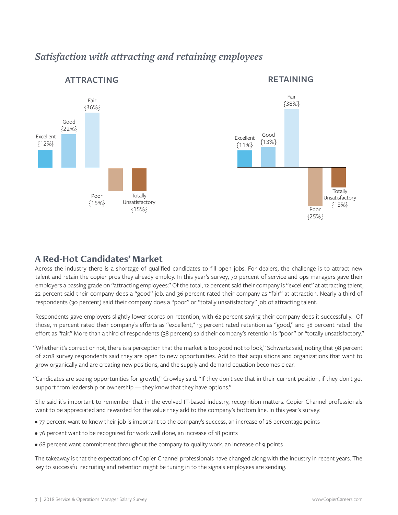# *Satisfaction with attracting and retaining employees*



#### **ATTRACTING RETAINING**



### **A Red-Hot Candidates' Market**

Across the industry there is a shortage of qualified candidates to fill open jobs. For dealers, the challenge is to attract new talent and retain the copier pros they already employ. In this year's survey, 70 percent of service and ops managers gave their employers a passing grade on "attracting employees." Of the total, 12 percent said their company is "excellent" at attracting talent, 22 percent said their company does a "good" job, and 36 percent rated their company as "fair" at attraction. Nearly a third of respondents (30 percent) said their company does a "poor" or "totally unsatisfactory" job of attracting talent.

Respondents gave employers slightly lower scores on retention, with 62 percent saying their company does it successfully. Of those, 11 percent rated their company's efforts as "excellent," 13 percent rated retention as "good," and 38 percent rated the effort as "fair." More than a third of respondents (38 percent) said their company's retention is "poor" or "totally unsatisfactory."

"Whether it's correct or not, there is a perception that the market is too good not to look," Schwartz said, noting that 98 percent of 2018 survey respondents said they are open to new opportunities. Add to that acquisitions and organizations that want to grow organically and are creating new positions, and the supply and demand equation becomes clear.

"Candidates are seeing opportunities for growth," Crowley said. "If they don't see that in their current position, if they don't get support from leadership or ownership — they know that they have options."

She said it's important to remember that in the evolved IT-based industry, recognition matters. Copier Channel professionals want to be appreciated and rewarded for the value they add to the company's bottom line. In this year's survey:

- 77 percent want to know their job is important to the company's success, an increase of 26 percentage points
- 76 percent want to be recognized for work well done, an increase of 18 points
- 68 percent want commitment throughout the company to quality work, an increase of 9 points

The takeaway is that the expectations of Copier Channel professionals have changed along with the industry in recent years. The key to successful recruiting and retention might be tuning in to the signals employees are sending.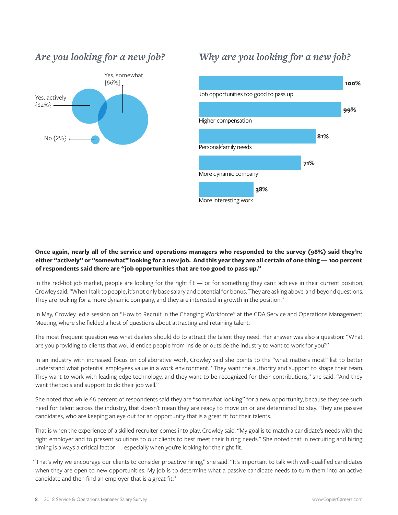



# *Why are you looking for a new job?*



#### **Once again, nearly all of the service and operations managers who responded to the survey (98%) said they're either "actively" or "somewhat" looking for a new job. And this year they are all certain of one thing — 100 percent of respondents said there are "job opportunities that are too good to pass up."**

In the red-hot job market, people are looking for the right fit — or for something they can't achieve in their current position, Crowley said. "When I talk to people, it's not only base salary and potential for bonus. They are asking above-and-beyond questions. They are looking for a more dynamic company, and they are interested in growth in the position."

In May, Crowley led a session on "How to Recruit in the Changing Workforce" at the CDA Service and Operations Management Meeting, where she fielded a host of questions about attracting and retaining talent.

The most frequent question was what dealers should do to attract the talent they need. Her answer was also a question: "What are you providing to clients that would entice people from inside or outside the industry to want to work for you?"

In an industry with increased focus on collaborative work, Crowley said she points to the "what matters most" list to better understand what potential employees value in a work environment. "They want the authority and support to shape their team. They want to work with leading-edge technology, and they want to be recognized for their contributions," she said. "And they want the tools and support to do their job well."

She noted that while 66 percent of respondents said they are "somewhat looking" for a new opportunity, because they see such need for talent across the industry, that doesn't mean they are ready to move on or are determined to stay. They are passive candidates, who are keeping an eye out for an opportunity that is a great fit for their talents.

That is when the experience of a skilled recruiter comes into play, Crowley said. "My goal is to match a candidate's needs with the right employer and to present solutions to our clients to best meet their hiring needs." She noted that in recruiting and hiring, timing is always a critical factor — especially when you're looking for the right fit.

"That's why we encourage our clients to consider proactive hiring," she said. "It's important to talk with well-qualified candidates when they are open to new opportunities. My job is to determine what a passive candidate needs to turn them into an active candidate and then find an employer that is a great fit."